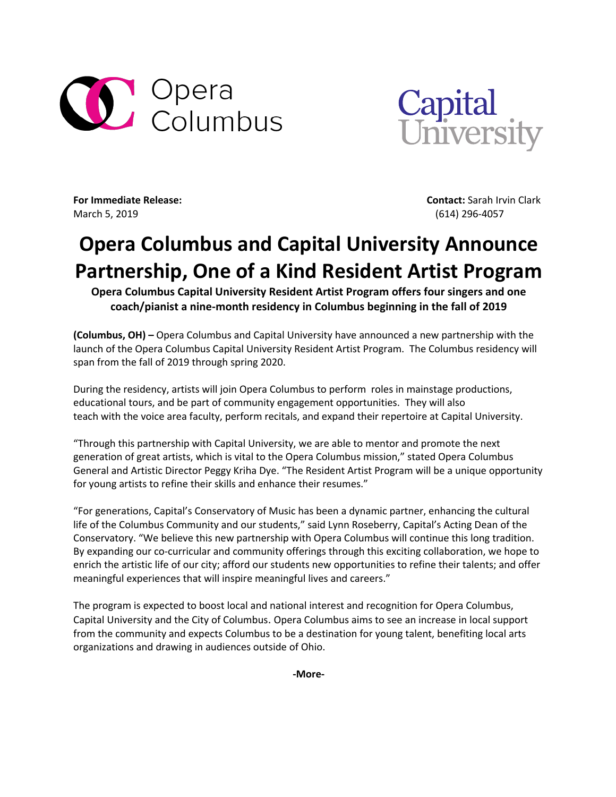



March 5, 2019 (614) 296-4057

**For Immediate Release: Contact:** Sarah Irvin Clark

## **Opera Columbus and Capital University Announce Partnership, One of a Kind Resident Artist Program**

**Opera Columbus Capital University Resident Artist Program offers four singers and one coach/pianist a nine-month residency in Columbus beginning in the fall of 2019**

**(Columbus, OH) –** Opera Columbus and Capital University have announced a new partnership with the launch of the Opera Columbus Capital University Resident Artist Program. The Columbus residency will span from the fall of 2019 through spring 2020.

During the residency, artists will join Opera Columbus to perform roles in mainstage productions, educational tours, and be part of community engagement opportunities. They will also teach with the voice area faculty, perform recitals, and expand their repertoire at Capital University.

"Through this partnership with Capital University, we are able to mentor and promote the next generation of great artists, which is vital to the Opera Columbus mission," stated Opera Columbus General and Artistic Director Peggy Kriha Dye. "The Resident Artist Program will be a unique opportunity for young artists to refine their skills and enhance their resumes."

"For generations, Capital's Conservatory of Music has been a dynamic partner, enhancing the cultural life of the Columbus Community and our students," said Lynn Roseberry, Capital's Acting Dean of the Conservatory. "We believe this new partnership with Opera Columbus will continue this long tradition. By expanding our co-curricular and community offerings through this exciting collaboration, we hope to enrich the artistic life of our city; afford our students new opportunities to refine their talents; and offer meaningful experiences that will inspire meaningful lives and careers."

The program is expected to boost local and national interest and recognition for Opera Columbus, Capital University and the City of Columbus. Opera Columbus aims to see an increase in local support from the community and expects Columbus to be a destination for young talent, benefiting local arts organizations and drawing in audiences outside of Ohio.

**-More-**